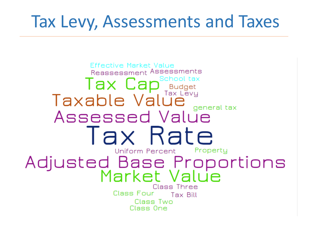## **Tax Levy, Assessments and Taxes**

**Effective Market Value** Reassessment Assessments Tax Cap<sup>School tax</sup><br>Taxable Value general tax Assessed Value Tax Rate Uniform Percent Property Adjusted Base Proportions<br>Market Value Class Three Class Four Tax Bill Class Two Class One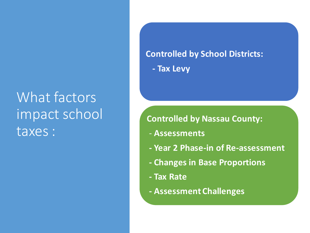## What factors impact school taxes :

#### **Controlled by School Districts:**

**- Tax Levy** 

#### **Controlled by Nassau County:**

- **Assessments**
- **- Year 2 Phase-in of Re-assessment**
- **- Changes in Base Proportions**
- **- Tax Rate**
- **- Assessment Challenges**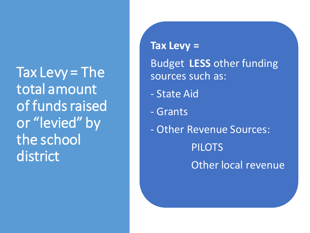Tax Levy = The total amount of funds raised or "levied" by the school district

 $\text{Tax}$  Levy = Budget **LESS** other funding sources such as:

- State Aid
- Grants
- - Other Revenue Sources: Other local revenue PILOTS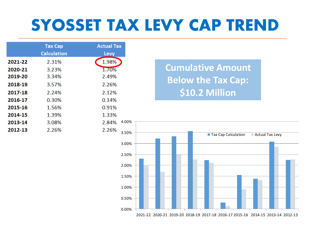## **SYOSSET TAX LEVY CAP TREND**

|         | <b>Tax Cap</b><br><b>Calculation</b> | <b>Actual Tax</b><br>Levy |
|---------|--------------------------------------|---------------------------|
| 2021-22 | 2.31%                                | 1.98%                     |
| 2020-21 | 3.23%                                | 1.70%                     |
| 2019-20 | 3.34%                                | 2.49%                     |
| 2018-19 | 3.57%                                | 2.26%                     |
| 2017-18 | 2.24%                                | 2.12%                     |
| 2016-17 | 0.30%                                | 0.14%                     |
| 2015-16 | 1.56%                                | 0.91%                     |
| 2014-15 | 1.39%                                | 1.33%                     |
| 2013-14 | 3.08%                                | 4.00%<br>2.84%            |
| 2012-13 | 2.26%                                | 2.26%<br>3.50%            |

 **Below the Tax Cap: Cumulative Amount \$10.2 Million** 

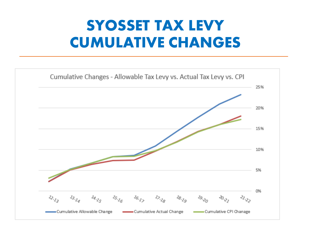## **SYOSSET TAX LEVY CUMULATIVE CHANGES**

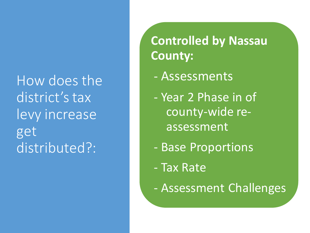How does the levy increase district's tax get distributed?:

**Controlled by Nassau County:** 

- Assessments
- - Year 2 Phase in of county-wide reassessment
- Base Proportions
- Tax Rate
- Assessment Challenges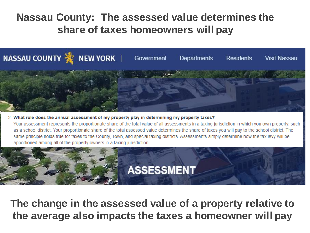#### **Nassau County: The assessed value determines the share of taxes homeowners will pay**



2. What role does the annual assessment of my property play in determining my property taxes? Your assessment represents the proportionate share of the total value of all assessments in a taxing jurisdiction in which you own property, such as a school district. Your proportionate share of the total assessed value determines the share of taxes you will pay to the school district. The same principle holds true for taxes to the County, Town, and special taxing districts. Assessments simply determine how the tax levy will be apportioned among all of the property owners in a taxing jurisdiction.



 **The change in the assessed value of a property relative to the average also impacts the taxes a homeowner will pay**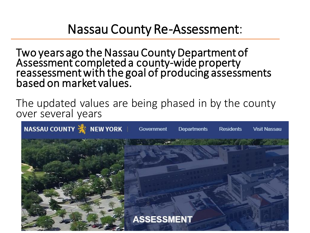### Nassau County Re-Assessment:

 Two years ago the Nassau County Department of Assessment completed a county-wide property<br>reassessment with the goal of producing assessments based on market values.

 The updated values are being phased in by the county over several years

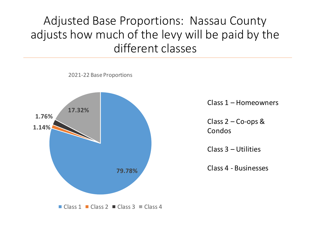### adjusts how much of the levy will be paid by the Adjusted Base Proportions: Nassau County different classes

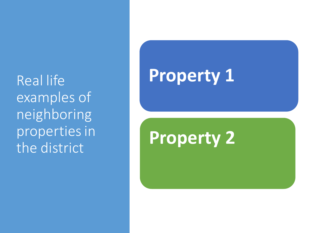Real life examples of neighboring properties in the district

# **Property 1**

# **Property 2**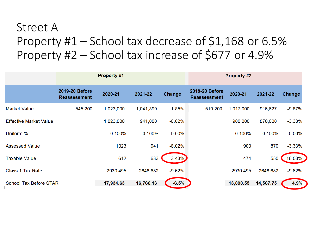### Property #1 – School tax decrease of \$1,168 or 6.5% Property #2 – School tax increase of \$677 or 4.9% Street A

|                               | <b>Property #1</b>                    |           |           | <b>Property #2</b> |                                       |           |           |          |
|-------------------------------|---------------------------------------|-----------|-----------|--------------------|---------------------------------------|-----------|-----------|----------|
|                               | 2019-20 Before<br><b>Reassessment</b> | 2020-21   | 2021-22   | Change             | 2019-20 Before<br><b>Reassessment</b> | 2020-21   | 2021-22   | Change   |
| <b>Market Value</b>           | 545,200                               | 1,023,000 | 1,041,899 | 1.85%              | 519,200                               | 1,017,000 | 916,627   | $-9.87%$ |
| Effective Market Value        |                                       | 1,023,000 | 941,000   | $-8.02%$           |                                       | 900,000   | 870,000   | $-3.33%$ |
| Uniform %                     |                                       | 0.100%    | 0.100%    | $0.00\%$           |                                       | 0.100%    | 0.100%    | $0.00\%$ |
| Assessed Value                |                                       | 1023      | 941       | $-8.02%$           |                                       | 900       | 870       | $-3.33%$ |
| <b>Taxable Value</b>          |                                       | 612       | 633       | 3.43%              |                                       | 474       | 550       | 16.03%   |
| Class 1 Tax Rate              |                                       | 2930.495  | 2648.682  | $-9.62%$           |                                       | 2930.495  | 2648.682  | $-9.62%$ |
| <b>School Tax Before STAR</b> |                                       | 17,934.63 | 16,766.16 | $-6.5%$            |                                       | 13,890.55 | 14,567.75 | 4.9%     |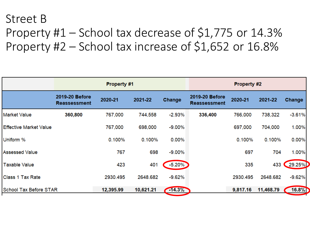### Property #1 – School tax decrease of \$1,775 or 14.3% Property #2 – School tax increase of \$1,652 or 16.8% Street B

|                               | Property #1                           |           |           | <b>Property #2</b> |                                       |          |           |          |
|-------------------------------|---------------------------------------|-----------|-----------|--------------------|---------------------------------------|----------|-----------|----------|
|                               | 2019-20 Before<br><b>Reassessment</b> | 2020-21   | 2021-22   | <b>Change</b>      | 2019-20 Before<br><b>Reassessment</b> | 2020-21  | 2021-22   | Change   |
| <b>Market Value</b>           | 360,800                               | 767,000   | 744,558   | $-2.93%$           | 336,400                               | 766,000  | 738,322   | $-3.61%$ |
| <b>Effective Market Value</b> |                                       | 767,000   | 698,000   | $-9.00%$           |                                       | 697,000  | 704,000   | 1.00%    |
| Uniform %                     |                                       | 0.100%    | 0.100%    | 0.00%              |                                       | 0.100%   | 0.100%    | 0.00%    |
| <b>Assessed Value</b>         |                                       | 767       | 698       | $-9.00%$           |                                       | 697      | 704       | 1.00%    |
| <b>Taxable Value</b>          |                                       | 423       | 401       | $-5.20%$           |                                       | 335      | 433       | 29.25%   |
| <b>Class 1 Tax Rate</b>       |                                       | 2930.495  | 2648.682  | $-9.62%$           |                                       | 2930.495 | 2648.682  | $-9.62%$ |
| <b>School Tax Before STAR</b> |                                       | 12,395.99 | 10,621.21 | $-14.3%$           |                                       | 9,817.16 | 11,468.79 | 16.8%    |
|                               |                                       |           |           |                    |                                       |          |           |          |